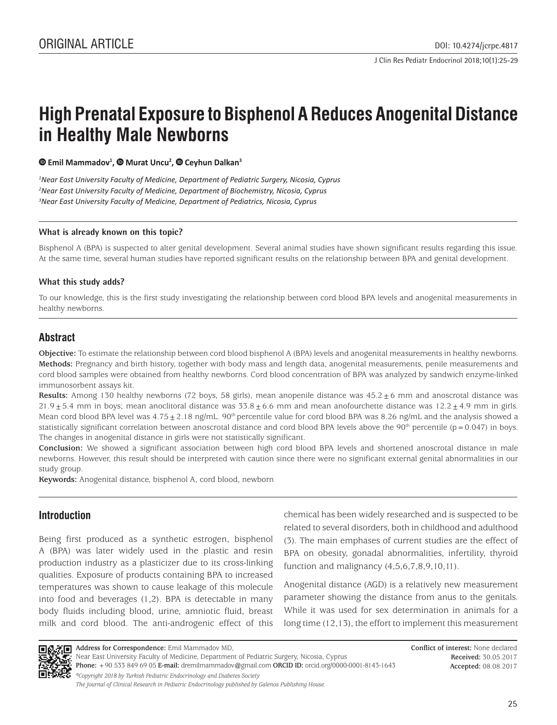# **High Prenatal Exposure to Bisphenol A Reduces Anogenital Distance in Healthy Male Newborns**

*EmilMammadov<sup>1</sup>, © Murat Uncu<sup>2</sup>, © Ceyhun Dalkan<sup>3</sup></sup>* 

*1 Near East University Faculty of Medicine, Department of Pediatric Surgery, Nicosia, Cyprus 2 Near East University Faculty of Medicine, Department of Biochemistry, Nicosia, Cyprus 3 Near East University Faculty of Medicine, Department of Pediatrics, Nicosia, Cyprus* 

## **What is already known on this topic?**

Bisphenol A (BPA) is suspected to alter genital development. Several animal studies have shown significant results regarding this issue. At the same time, several human studies have reported significant results on the relationship between BPA and genital development.

## **What this study adds?**

To our knowledge, this is the first study investigating the relationship between cord blood BPA levels and anogenital measurements in healthy newborns.

# **Abstract**

**Objective:** To estimate the relationship between cord blood bisphenol A (BPA) levels and anogenital measurements in healthy newborns. **Methods:** Pregnancy and birth history, together with body mass and length data, anogenital measurements, penile measurements and cord blood samples were obtained from healthy newborns. Cord blood concentration of BPA was analyzed by sandwich enzyme-linked immunosorbent assays kit.

**Results:** Among 130 healthy newborns (72 boys, 58 girls), mean anopenile distance was 45.2±6 mm and anoscrotal distance was  $21.9 \pm 5.4$  mm in boys; mean anoclitoral distance was  $33.8 \pm 6.6$  mm and mean anofourchette distance was  $12.2 \pm 4.9$  mm in girls. Mean cord blood BPA level was  $4.75\pm2.18$  ng/mL. 90<sup>th</sup> percentile value for cord blood BPA was 8.26 ng/mL and the analysis showed a statistically significant correlation between anoscrotal distance and cord blood BPA levels above the 90<sup>th</sup> percentile ( $p = 0.047$ ) in boys. The changes in anogenital distance in girls were not statistically significant.

**Conclusion:** We showed a significant association between high cord blood BPA levels and shortened anoscrotal distance in male newborns. However, this result should be interpreted with caution since there were no significant external genital abnormalities in our study group.

**Keywords:** Anogenital distance, bisphenol A, cord blood, newborn

# **Introduction**

Being first produced as a synthetic estrogen, bisphenol A (BPA) was later widely used in the plastic and resin production industry as a plasticizer due to its cross-linking qualities. Exposure of products containing BPA to increased temperatures was shown to cause leakage of this molecule into food and beverages (1,2). BPA is detectable in many body fluids including blood, urine, amniotic fluid, breast milk and cord blood. The anti-androgenic effect of this chemical has been widely researched and is suspected to be related to several disorders, both in childhood and adulthood (3). The main emphases of current studies are the effect of BPA on obesity, gonadal abnormalities, infertility, thyroid function and malignancy  $(4,5,6,7,8,9,10,11)$ .

Anogenital distance (AGD) is a relatively new measurement parameter showing the distance from anus to the genitals. While it was used for sex determination in animals for a long time (12,13), the effort to implement this measurement



**Conflict of interest:** None declared **Received:** 30.05.2017 **Accepted:** 08.08.2017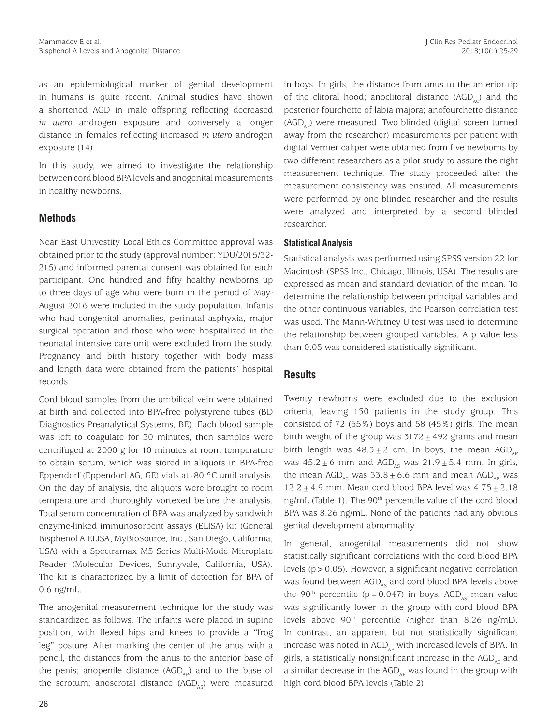as an epidemiological marker of genital development in humans is quite recent. Animal studies have shown a shortened AGD in male offspring reflecting decreased *in utero* androgen exposure and conversely a longer distance in females reflecting increased *in utero* androgen exposure (14).

In this study, we aimed to investigate the relationship between cord blood BPA levels and anogenital measurements in healthy newborns.

# **Methods**

Near East Univestity Local Ethics Committee approval was obtained prior to the study (approval number: YDU/2015/32- 215) and informed parental consent was obtained for each participant. One hundred and fifty healthy newborns up to three days of age who were born in the period of May-August 2016 were included in the study population. Infants who had congenital anomalies, perinatal asphyxia, major surgical operation and those who were hospitalized in the neonatal intensive care unit were excluded from the study. Pregnancy and birth history together with body mass and length data were obtained from the patients' hospital records.

Cord blood samples from the umbilical vein were obtained at birth and collected into BPA-free polystyrene tubes (BD Diagnostics Preanalytical Systems, BE). Each blood sample was left to coagulate for 30 minutes, then samples were centrifuged at 2000 g for 10 minutes at room temperature to obtain serum, which was stored in aliquots in BPA-free Eppendorf (Eppendorf AG, GE) vials at -80 °C until analysis. On the day of analysis, the aliquots were brought to room temperature and thoroughly vortexed before the analysis. Total serum concentration of BPA was analyzed by sandwich enzyme-linked immunosorbent assays (ELISA) kit (General Bisphenol A ELISA, MyBioSource, Inc., San Diego, California, USA) with a Spectramax M5 Series Multi-Mode Microplate Reader (Molecular Devices, Sunnyvale, California, USA). The kit is characterized by a limit of detection for BPA of 0.6 ng/mL.

The anogenital measurement technique for the study was standardized as follows. The infants were placed in supine position, with flexed hips and knees to provide a "frog leg" posture. After marking the center of the anus with a pencil, the distances from the anus to the anterior base of the penis; anopenile distance  $(AGD_{AD})$  and to the base of the scrotum; anoscrotal distance  $(AGD_{AS})$  were measured

in boys. In girls, the distance from anus to the anterior tip of the clitoral hood; anoclitoral distance  $(AGD<sub>AC</sub>)$  and the posterior fourchette of labia majora; anofourchette distance  $(AGD_{\text{AP}})$  were measured. Two blinded (digital screen turned away from the researcher) measurements per patient with digital Vernier caliper were obtained from five newborns by two different researchers as a pilot study to assure the right measurement technique. The study proceeded after the measurement consistency was ensured. All measurements were performed by one blinded researcher and the results were analyzed and interpreted by a second blinded researcher.

## **Statistical Analysis**

Statistical analysis was performed using SPSS version 22 for Macintosh (SPSS Inc., Chicago, Illinois, USA). The results are expressed as mean and standard deviation of the mean. To determine the relationship between principal variables and the other continuous variables, the Pearson correlation test was used. The Mann-Whitney U test was used to determine the relationship between grouped variables. A p value less than 0.05 was considered statistically significant.

## **Results**

Twenty newborns were excluded due to the exclusion criteria, leaving 130 patients in the study group. This consisted of 72 (55%) boys and 58 (45%) girls. The mean birth weight of the group was  $3172 \pm 492$  grams and mean birth length was  $48.3 \pm 2$  cm. In boys, the mean AGD<sub>AP</sub> was  $45.2 \pm 6$  mm and  $AGD_{AS}$  was  $21.9 \pm 5.4$  mm. In girls, the mean AGD<sub>bc</sub> was  $33.8 \pm 6.6$  mm and mean AGD<sub>bc</sub> was  $12.2 \pm 4.9$  mm. Mean cord blood BPA level was  $4.75 \pm 2.18$ ng/mL (Table 1). The 90<sup>th</sup> percentile value of the cord blood BPA was 8.26 ng/mL. None of the patients had any obvious genital development abnormality.

In general, anogenital measurements did not show statistically significant correlations with the cord blood BPA levels (p>0.05). However, a significant negative correlation was found between  $AGD_{AS}$  and cord blood BPA levels above the 90<sup>th</sup> percentile (p=0.047) in boys. AGD<sub>AS</sub> mean value was significantly lower in the group with cord blood BPA levels above  $90<sup>th</sup>$  percentile (higher than 8.26 ng/mL). In contrast, an apparent but not statistically significant increase was noted in  $AGD_{AP}$  with increased levels of BPA. In girls, a statistically nonsignificant increase in the  $AGD<sub>AC</sub>$  and a similar decrease in the  $AGD_{AF}$  was found in the group with high cord blood BPA levels (Table 2).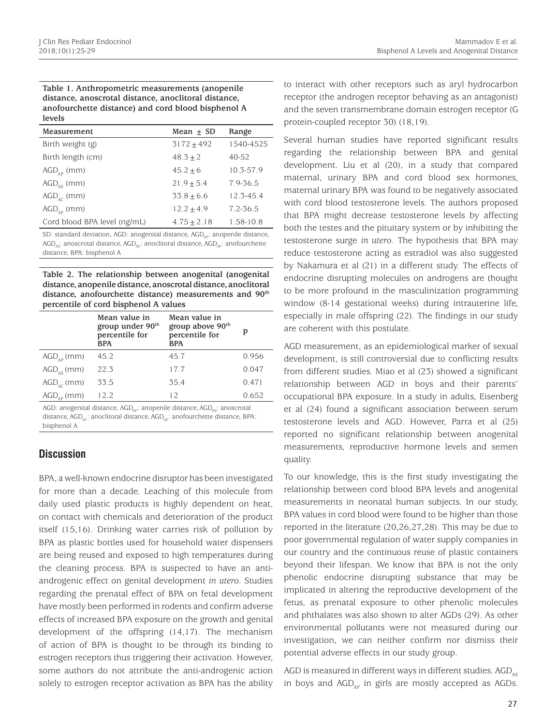#### **Table 1. Anthropometric measurements (anopenile distance, anoscrotal distance, anoclitoral distance, anofourchette distance) and cord blood bisphenol A levels**

| Measurement                  | Mean $\pm$ SD | Range     |
|------------------------------|---------------|-----------|
| Birth weight (g)             | $3172 + 492$  | 1540-4525 |
| Birth length (cm)            | $48.3 + 2$    | $40 - 52$ |
| $AGD_{_{AP}}$ (mm)           | $45.2 + 6$    | 10.3-57.9 |
| $AGD_{AS}$ (mm)              | $21.9 + 5.4$  | 7.9-36.5  |
| $AGD_{\text{ac}}$ (mm)       | $33.8 + 6.6$  | 12.3-45.4 |
| $AGD_{_{AF}}$ (mm)           | $12.2 + 4.9$  | 7.2-36.5  |
| Cord blood BPA level (ng/mL) | $4.75 + 2.18$ | 1.58-10.8 |

SD: standard deviation, AGD: anogenital distance, AGD<sub>AD</sub>: anopenile distance,  $AGD_{ac}$ : anoscrotal distance,  $AGD_{ac}$ : anoclitoral distance,  $AGD_{ac}$ : anofourchette distance, BPA: bisphenol A

**Table 2. The relationship between anogenital (anogenital distance, anopenile distance, anoscrotal distance, anoclitoral distance, anofourchette distance) measurements and 90th percentile of cord bisphenol A values**

|                       | Mean value in<br>group under $90th$<br>percentile for<br><b>BPA</b> | Mean value in<br>group above 90th<br>percentile for<br><b>BPA</b> | p     |
|-----------------------|---------------------------------------------------------------------|-------------------------------------------------------------------|-------|
| $AGD_{\alpha D}$ (mm) | 45.2                                                                | 45.7                                                              | 0.956 |
| $AGD_{\alpha S}$ (mm) | 22.3                                                                | 17.7                                                              | 0.047 |
| $AGD_{AC}$ (mm)       | 33.5                                                                | 35.4                                                              | 0.471 |
| $AGD_{AF}$ (mm)       | 12.2                                                                | 12                                                                | 0.652 |

AGD: anogenital distance,  $AGD_{ab}$ : anopenile distance,  $AGD_{ac}$ : anoscrotal distance,  $AGD_{AC}$ : anoclitoral distance,  $AGD_{AF}$ : anofourchette distance, BPA: bisphenol A

# **Discussion**

BPA, a well-known endocrine disruptor has been investigated for more than a decade. Leaching of this molecule from daily used plastic products is highly dependent on heat, on contact with chemicals and deterioration of the product itself (15,16). Drinking water carries risk of pollution by BPA as plastic bottles used for household water dispensers are being reused and exposed to high temperatures during the cleaning process. BPA is suspected to have an antiandrogenic effect on genital development *in utero*. Studies regarding the prenatal effect of BPA on fetal development have mostly been performed in rodents and confirm adverse effects of increased BPA exposure on the growth and genital development of the offspring (14,17). The mechanism of action of BPA is thought to be through its binding to estrogen receptors thus triggering their activation. However, some authors do not attribute the anti-androgenic action solely to estrogen receptor activation as BPA has the ability to interact with other receptors such as aryl hydrocarbon receptor (the androgen receptor behaving as an antagonist) and the seven transmembrane domain estrogen receptor (G protein-coupled receptor 30) (18,19).

Several human studies have reported significant results regarding the relationship between BPA and genital development. Liu et al (20), in a study that compared maternal, urinary BPA and cord blood sex hormones, maternal urinary BPA was found to be negatively associated with cord blood testosterone levels. The authors proposed that BPA might decrease testosterone levels by affecting both the testes and the pituitary system or by inhibiting the testosterone surge *in utero*. The hypothesis that BPA may reduce testosterone acting as estradiol was also suggested by Nakamura et al (21) in a different study. The effects of endocrine disrupting molecules on androgens are thought to be more profound in the masculinization programming window (8-14 gestational weeks) during intrauterine life, especially in male offspring (22). The findings in our study are coherent with this postulate.

AGD measurement, as an epidemiological marker of sexual development, is still controversial due to conflicting results from different studies. Miao et al (23) showed a significant relationship between AGD in boys and their parents' occupational BPA exposure. In a study in adults, Eisenberg et al (24) found a significant association between serum testosterone levels and AGD. However, Parra et al (25) reported no significant relationship between anogenital measurements, reproductive hormone levels and semen quality.

To our knowledge, this is the first study investigating the relationship between cord blood BPA levels and anogenital measurements in neonatal human subjects. In our study, BPA values in cord blood were found to be higher than those reported in the literature (20,26,27,28). This may be due to poor governmental regulation of water supply companies in our country and the continuous reuse of plastic containers beyond their lifespan. We know that BPA is not the only phenolic endocrine disrupting substance that may be implicated in altering the reproductive development of the fetus, as prenatal exposure to other phenolic molecules and phthalates was also shown to alter AGDs (29). As other environmental pollutants were not measured during our investigation, we can neither confirm nor dismiss their potential adverse effects in our study group.

AGD is measured in different ways in different studies.  $AGD_{\text{MS}}$ in boys and  $AGD_{AF}$  in girls are mostly accepted as AGDs.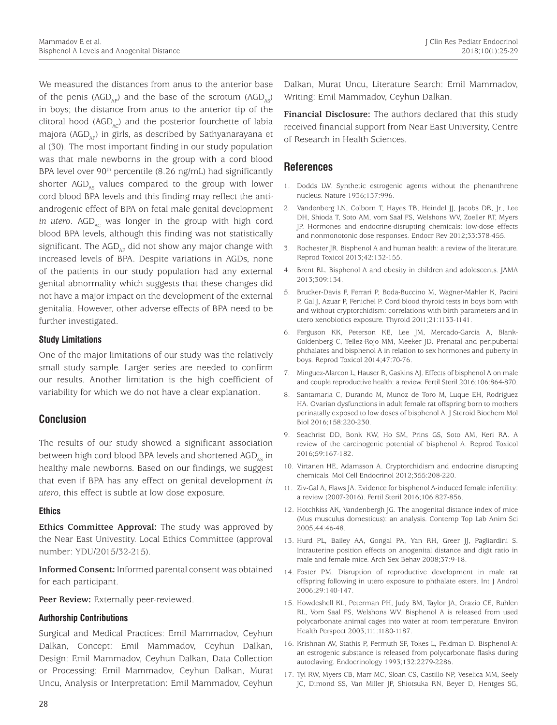We measured the distances from anus to the anterior base of the penis (AGD<sub>AP</sub>) and the base of the scrotum (AGD<sub>AS</sub>) in boys; the distance from anus to the anterior tip of the clitoral hood (AGD<sub> $\alpha$ </sub>) and the posterior fourchette of labia majora (AGD<sub>AF</sub>) in girls, as described by Sathyanarayana et al (30). The most important finding in our study population was that male newborns in the group with a cord blood BPA level over 90<sup>th</sup> percentile (8.26 ng/mL) had significantly shorter  $AGD_{ac}$  values compared to the group with lower cord blood BPA levels and this finding may reflect the antiandrogenic effect of BPA on fetal male genital development *in utero.* AGD<sub> $n<sub>c</sub>$  was longer in the group with high cord</sub> blood BPA levels, although this finding was not statistically significant. The  $AGD_{AF}$  did not show any major change with increased levels of BPA. Despite variations in AGDs, none of the patients in our study population had any external genital abnormality which suggests that these changes did not have a major impact on the development of the external genitalia. However, other adverse effects of BPA need to be further investigated.

## **Study Limitations**

One of the major limitations of our study was the relatively small study sample. Larger series are needed to confirm our results. Another limitation is the high coefficient of variability for which we do not have a clear explanation.

# **Conclusion**

The results of our study showed a significant association between high cord blood BPA levels and shortened  $AGD_{\text{ac}}$  in healthy male newborns. Based on our findings, we suggest that even if BPA has any effect on genital development *in utero*, this effect is subtle at low dose exposure.

## **Ethics**

**Ethics Committee Approval:** The study was approved by the Near East Univestity. Local Ethics Committee (approval number: YDU/2015/32-215).

**Informed Consent:** Informed parental consent was obtained for each participant.

Peer Review: Externally peer-reviewed.

## **Authorship Contributions**

Surgical and Medical Practices: Emil Mammadov, Ceyhun Dalkan, Concept: Emil Mammadov, Ceyhun Dalkan, Design: Emil Mammadov, Ceyhun Dalkan, Data Collection or Processing: Emil Mammadov, Ceyhun Dalkan, Murat Uncu, Analysis or Interpretation: Emil Mammadov, Ceyhun

Dalkan, Murat Uncu, Literature Search: Emil Mammadov, Writing: Emil Mammadov, Ceyhun Dalkan.

**Financial Disclosure:** The authors declared that this study received financial support from Near East University, Centre of Research in Health Sciences.

# **References**

- 1. Dodds LW. Synthetic estrogenic agents without the phenanthrene nucleus. Nature 1936;137:996.
- 2. Vandenberg LN, Colborn T, Hayes TB, Heindel JJ, Jacobs DR, Jr., Lee DH, Shioda T, Soto AM, vom Saal FS, Welshons WV, Zoeller RT, Myers JP. Hormones and endocrine-disrupting chemicals: low-dose effects and nonmonotonic dose responses. Endocr Rev 2012;33:378-455.
- 3. Rochester JR. Bisphenol A and human health: a review of the literature. Reprod Toxicol 2013;42:132-155.
- 4. Brent RL. Bisphenol A and obesity in children and adolescents. JAMA 2013;309:134.
- 5. Brucker-Davis F, Ferrari P, Boda-Buccino M, Wagner-Mahler K, Pacini P, Gal J, Azuar P, Fenichel P. Cord blood thyroid tests in boys born with and without cryptorchidism: correlations with birth parameters and in utero xenobiotics exposure. Thyroid 2011;21:1133-1141.
- 6. Ferguson KK, Peterson KE, Lee JM, Mercado-Garcia A, Blank-Goldenberg C, Tellez-Rojo MM, Meeker JD. Prenatal and peripubertal phthalates and bisphenol A in relation to sex hormones and puberty in boys. Reprod Toxicol 2014;47:70-76.
- 7. Minguez-Alarcon L, Hauser R, Gaskins AJ. Effects of bisphenol A on male and couple reproductive health: a review. Fertil Steril 2016;106:864-870.
- 8. Santamaria C, Durando M, Munoz de Toro M, Luque EH, Rodriguez HA. Ovarian dysfunctions in adult female rat offspring born to mothers perinatally exposed to low doses of bisphenol A. J Steroid Biochem Mol Biol 2016;158:220-230.
- 9. Seachrist DD, Bonk KW, Ho SM, Prins GS, Soto AM, Keri RA. A review of the carcinogenic potential of bisphenol A. Reprod Toxicol 2016;59:167-182.
- 10. Virtanen HE, Adamsson A. Cryptorchidism and endocrine disrupting chemicals. Mol Cell Endocrinol 2012;355:208-220.
- 11. Ziv-Gal A, Flaws JA. Evidence for bisphenol A-induced female infertility: a review (2007-2016). Fertil Steril 2016;106:827-856.
- 12. Hotchkiss AK, Vandenbergh JG. The anogenital distance index of mice (Mus musculus domesticus): an analysis. Contemp Top Lab Anim Sci 2005;44:46-48.
- 13. Hurd PL, Bailey AA, Gongal PA, Yan RH, Greer JJ, Pagliardini S. Intrauterine position effects on anogenital distance and digit ratio in male and female mice. Arch Sex Behav 2008;37:9-18.
- 14. Foster PM. Disruption of reproductive development in male rat offspring following in utero exposure to phthalate esters. Int J Androl 2006;29:140-147.
- 15. Howdeshell KL, Peterman PH, Judy BM, Taylor JA, Orazio CE, Ruhlen RL, Vom Saal FS, Welshons WV. Bisphenol A is released from used polycarbonate animal cages into water at room temperature. Environ Health Perspect 2003;111:1180-1187.
- 16. Krishnan AV, Stathis P, Permuth SF, Tokes L, Feldman D. Bisphenol-A: an estrogenic substance is released from polycarbonate flasks during autoclaving. Endocrinology 1993;132:2279-2286.
- 17. Tyl RW, Myers CB, Marr MC, Sloan CS, Castillo NP, Veselica MM, Seely JC, Dimond SS, Van Miller JP, Shiotsuka RN, Beyer D, Hentges SG,